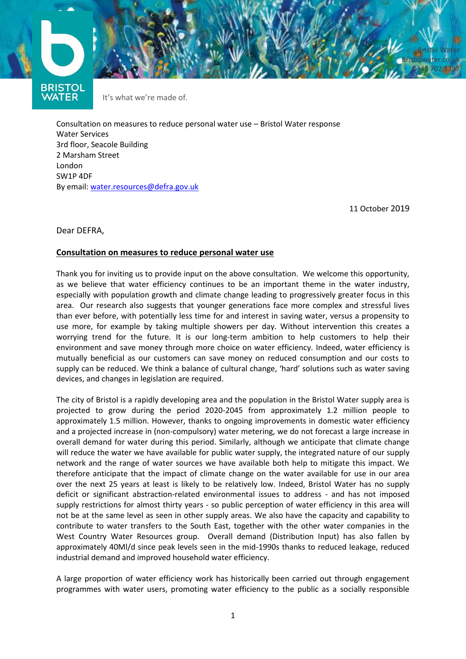



It's what we're made of.

Consultation on measures to reduce personal water use – Bristol Water response Water Services 3rd floor, Seacole Building 2 Marsham Street London SW1P 4DF By email: [water.resources@defra.gov.uk](mailto:water.resources@defra.gov.uk)

11 October 2019

Dear DEFRA,

#### **Consultation on measures to reduce personal water use**

Thank you for inviting us to provide input on the above consultation. We welcome this opportunity, as we believe that water efficiency continues to be an important theme in the water industry, especially with population growth and climate change leading to progressively greater focus in this area. Our research also suggests that younger generations face more complex and stressful lives than ever before, with potentially less time for and interest in saving water, versus a propensity to use more, for example by taking multiple showers per day. Without intervention this creates a worrying trend for the future. It is our long-term ambition to help customers to help their environment and save money through more choice on water efficiency. Indeed, water efficiency is mutually beneficial as our customers can save money on reduced consumption and our costs to supply can be reduced. We think a balance of cultural change, 'hard' solutions such as water saving devices, and changes in legislation are required.

The city of Bristol is a rapidly developing area and the population in the Bristol Water supply area is projected to grow during the period 2020-2045 from approximately 1.2 million people to approximately 1.5 million. However, thanks to ongoing improvements in domestic water efficiency and a projected increase in (non-compulsory) water metering, we do not forecast a large increase in overall demand for water during this period. Similarly, although we anticipate that climate change will reduce the water we have available for public water supply, the integrated nature of our supply network and the range of water sources we have available both help to mitigate this impact. We therefore anticipate that the impact of climate change on the water available for use in our area over the next 25 years at least is likely to be relatively low. Indeed, Bristol Water has no supply deficit or significant abstraction-related environmental issues to address - and has not imposed supply restrictions for almost thirty years - so public perception of water efficiency in this area will not be at the same level as seen in other supply areas. We also have the capacity and capability to contribute to water transfers to the South East, together with the other water companies in the West Country Water Resources group. Overall demand (Distribution Input) has also fallen by approximately 40Ml/d since peak levels seen in the mid-1990s thanks to reduced leakage, reduced industrial demand and improved household water efficiency.

A large proportion of water efficiency work has historically been carried out through engagement programmes with water users, promoting water efficiency to the public as a socially responsible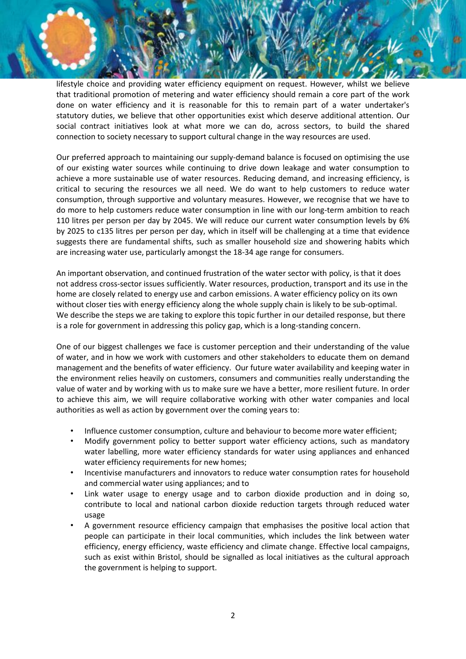lifestyle choice and providing water efficiency equipment on request. However, whilst we believe that traditional promotion of metering and water efficiency should remain a core part of the work done on water efficiency and it is reasonable for this to remain part of a water undertaker's statutory duties, we believe that other opportunities exist which deserve additional attention. Our social contract initiatives look at what more we can do, across sectors, to build the shared connection to society necessary to support cultural change in the way resources are used.

Our preferred approach to maintaining our supply-demand balance is focused on optimising the use of our existing water sources while continuing to drive down leakage and water consumption to achieve a more sustainable use of water resources. Reducing demand, and increasing efficiency, is critical to securing the resources we all need. We do want to help customers to reduce water consumption, through supportive and voluntary measures. However, we recognise that we have to do more to help customers reduce water consumption in line with our long-term ambition to reach 110 litres per person per day by 2045. We will reduce our current water consumption levels by 6% by 2025 to c135 litres per person per day, which in itself will be challenging at a time that evidence suggests there are fundamental shifts, such as smaller household size and showering habits which are increasing water use, particularly amongst the 18-34 age range for consumers.

An important observation, and continued frustration of the water sector with policy, is that it does not address cross-sector issues sufficiently. Water resources, production, transport and its use in the home are closely related to energy use and carbon emissions. A water efficiency policy on its own without closer ties with energy efficiency along the whole supply chain is likely to be sub-optimal. We describe the steps we are taking to explore this topic further in our detailed response, but there is a role for government in addressing this policy gap, which is a long-standing concern.

One of our biggest challenges we face is customer perception and their understanding of the value of water, and in how we work with customers and other stakeholders to educate them on demand management and the benefits of water efficiency. Our future water availability and keeping water in the environment relies heavily on customers, consumers and communities really understanding the value of water and by working with us to make sure we have a better, more resilient future. In order to achieve this aim, we will require collaborative working with other water companies and local authorities as well as action by government over the coming years to:

- Influence customer consumption, culture and behaviour to become more water efficient;
- Modify government policy to better support water efficiency actions, such as mandatory water labelling, more water efficiency standards for water using appliances and enhanced water efficiency requirements for new homes;
- Incentivise manufacturers and innovators to reduce water consumption rates for household and commercial water using appliances; and to
- Link water usage to energy usage and to carbon dioxide production and in doing so, contribute to local and national carbon dioxide reduction targets through reduced water usage
- A government resource efficiency campaign that emphasises the positive local action that people can participate in their local communities, which includes the link between water efficiency, energy efficiency, waste efficiency and climate change. Effective local campaigns, such as exist within Bristol, should be signalled as local initiatives as the cultural approach the government is helping to support.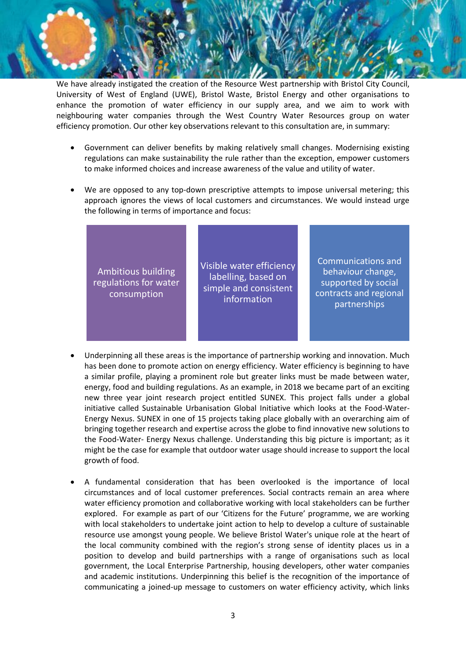We have already instigated the creation of the Resource West partnership with Bristol City Council, University of West of England (UWE), Bristol Waste, Bristol Energy and other organisations to enhance the promotion of water efficiency in our supply area, and we aim to work with neighbouring water companies through the West Country Water Resources group on water efficiency promotion. Our other key observations relevant to this consultation are, in summary:

- Government can deliver benefits by making relatively small changes. Modernising existing regulations can make sustainability the rule rather than the exception, empower customers to make informed choices and increase awareness of the value and utility of water.
- We are opposed to any top-down prescriptive attempts to impose universal metering; this approach ignores the views of local customers and circumstances. We would instead urge the following in terms of importance and focus:

| Ambitious building<br>regulations for water<br>consumption | Visible water efficiency<br>labelling, based on<br>simple and consistent<br>information | <b>Communications and</b><br>behaviour change,<br>supported by social<br>contracts and regional<br>partnerships |
|------------------------------------------------------------|-----------------------------------------------------------------------------------------|-----------------------------------------------------------------------------------------------------------------|
|------------------------------------------------------------|-----------------------------------------------------------------------------------------|-----------------------------------------------------------------------------------------------------------------|

- Underpinning all these areas is the importance of partnership working and innovation. Much has been done to promote action on energy efficiency. Water efficiency is beginning to have a similar profile, playing a prominent role but greater links must be made between water, energy, food and building regulations. As an example, in 2018 we became part of an exciting new three year joint research project entitled SUNEX. This project falls under a global initiative called Sustainable Urbanisation Global Initiative which looks at the Food-Water-Energy Nexus. SUNEX in one of 15 projects taking place globally with an overarching aim of bringing together research and expertise across the globe to find innovative new solutions to the Food-Water- Energy Nexus challenge. Understanding this big picture is important; as it might be the case for example that outdoor water usage should increase to support the local growth of food.
- A fundamental consideration that has been overlooked is the importance of local circumstances and of local customer preferences. Social contracts remain an area where water efficiency promotion and collaborative working with local stakeholders can be further explored. For example as part of our 'Citizens for the Future' programme, we are working with local stakeholders to undertake joint action to help to develop a culture of sustainable resource use amongst young people. We believe Bristol Water's unique role at the heart of the local community combined with the region's strong sense of identity places us in a position to develop and build partnerships with a range of organisations such as local government, the Local Enterprise Partnership, housing developers, other water companies and academic institutions. Underpinning this belief is the recognition of the importance of communicating a joined-up message to customers on water efficiency activity, which links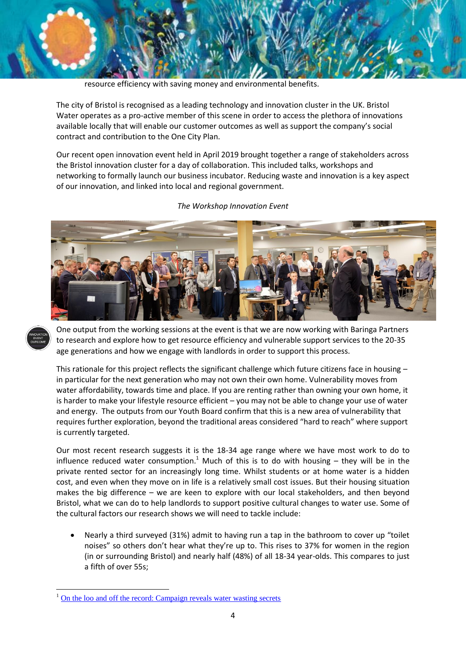

resource efficiency with saving money and environmental benefits.

The city of Bristol is recognised as a leading technology and innovation cluster in the UK. Bristol Water operates as a pro-active member of this scene in order to access the plethora of innovations available locally that will enable our customer outcomes as well as support the company's social contract and contribution to the One City Plan.

Our recent open innovation event held in April 2019 brought together a range of stakeholders across the Bristol innovation cluster for a day of collaboration. This included talks, workshops and networking to formally launch our business incubator. Reducing waste and innovation is a key aspect of our innovation, and linked into local and regional government.



*The Workshop Innovation Event*



**.** 

One output from the working sessions at the event is that we are now working with Baringa Partners to research and explore how to get resource efficiency and vulnerable support services to the 20-35 age generations and how we engage with landlords in order to support this process.

This rationale for this project reflects the significant challenge which future citizens face in housing in particular for the next generation who may not own their own home. Vulnerability moves from water affordability, towards time and place. If you are renting rather than owning your own home, it is harder to make your lifestyle resource efficient – you may not be able to change your use of water and energy. The outputs from our Youth Board confirm that this is a new area of vulnerability that requires further exploration, beyond the traditional areas considered "hard to reach" where support is currently targeted.

Our most recent research suggests it is the 18-34 age range where we have most work to do to influence reduced water consumption.<sup>1</sup> Much of this is to do with housing – they will be in the private rented sector for an increasingly long time. Whilst students or at home water is a hidden cost, and even when they move on in life is a relatively small cost issues. But their housing situation makes the big difference – we are keen to explore with our local stakeholders, and then beyond Bristol, what we can do to help landlords to support positive cultural changes to water use. Some of the cultural factors our research shows we will need to tackle include:

 Nearly a third surveyed (31%) admit to having run a tap in the bathroom to cover up "toilet noises" so others don't hear what they're up to. This rises to 37% for women in the region (in or surrounding Bristol) and nearly half (48%) of all 18-34 year-olds. This compares to just a fifth of over 55s;

<sup>1</sup> [On the loo and off the record: Campaign reveals water wasting secrets](https://www.bristolwater.co.uk/on-the-loo-and-off-the-record-campaign-reveals-water-wasting-secrets/)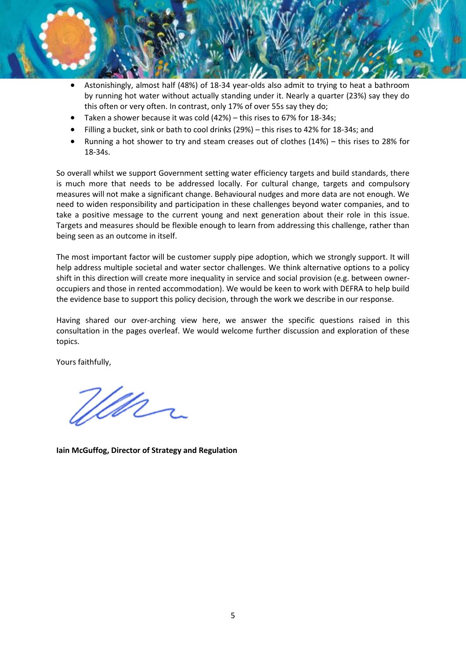- Astonishingly, almost half (48%) of 18-34 year-olds also admit to trying to heat a bathroom by running hot water without actually standing under it. Nearly a quarter (23%) say they do this often or very often. In contrast, only 17% of over 55s say they do;
- Taken a shower because it was cold (42%) this rises to 67% for 18-34s;
- Filling a bucket, sink or bath to cool drinks (29%) this rises to 42% for 18-34s; and
- Running a hot shower to try and steam creases out of clothes (14%) this rises to 28% for 18-34s.

So overall whilst we support Government setting water efficiency targets and build standards, there is much more that needs to be addressed locally. For cultural change, targets and compulsory measures will not make a significant change. Behavioural nudges and more data are not enough. We need to widen responsibility and participation in these challenges beyond water companies, and to take a positive message to the current young and next generation about their role in this issue. Targets and measures should be flexible enough to learn from addressing this challenge, rather than being seen as an outcome in itself.

The most important factor will be customer supply pipe adoption, which we strongly support. It will help address multiple societal and water sector challenges. We think alternative options to a policy shift in this direction will create more inequality in service and social provision (e.g. between owneroccupiers and those in rented accommodation). We would be keen to work with DEFRA to help build the evidence base to support this policy decision, through the work we describe in our response.

Having shared our over-arching view here, we answer the specific questions raised in this consultation in the pages overleaf. We would welcome further discussion and exploration of these topics.

Yours faithfully,

<u>Win</u>

**Iain McGuffog, Director of Strategy and Regulation**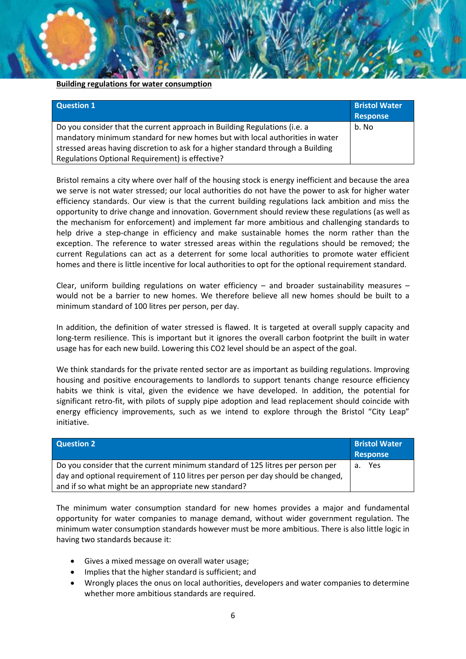#### **Building regulations for water consumption**

| <b>Question 1</b>                                                                                                                                                                                                                             | <b>Bristol Water</b><br>Response |
|-----------------------------------------------------------------------------------------------------------------------------------------------------------------------------------------------------------------------------------------------|----------------------------------|
| Do you consider that the current approach in Building Regulations (i.e. a<br>mandatory minimum standard for new homes but with local authorities in water<br>stressed areas having discretion to ask for a higher standard through a Building | b. No                            |
| Regulations Optional Requirement) is effective?                                                                                                                                                                                               |                                  |

Bristol remains a city where over half of the housing stock is energy inefficient and because the area we serve is not water stressed; our local authorities do not have the power to ask for higher water efficiency standards. Our view is that the current building regulations lack ambition and miss the opportunity to drive change and innovation. Government should review these regulations (as well as the mechanism for enforcement) and implement far more ambitious and challenging standards to help drive a step-change in efficiency and make sustainable homes the norm rather than the exception. The reference to water stressed areas within the regulations should be removed; the current Regulations can act as a deterrent for some local authorities to promote water efficient homes and there is little incentive for local authorities to opt for the optional requirement standard.

Clear, uniform building regulations on water efficiency  $-$  and broader sustainability measures  $$ would not be a barrier to new homes. We therefore believe all new homes should be built to a minimum standard of 100 litres per person, per day.

In addition, the definition of water stressed is flawed. It is targeted at overall supply capacity and long-term resilience. This is important but it ignores the overall carbon footprint the built in water usage has for each new build. Lowering this CO2 level should be an aspect of the goal.

We think standards for the private rented sector are as important as building regulations. Improving housing and positive encouragements to landlords to support tenants change resource efficiency habits we think is vital, given the evidence we have developed. In addition, the potential for significant retro-fit, with pilots of supply pipe adoption and lead replacement should coincide with energy efficiency improvements, such as we intend to explore through the Bristol "City Leap" initiative.

| <b>Question 2</b>                                                                | <b>Bristol Water</b><br><b>Response</b> |
|----------------------------------------------------------------------------------|-----------------------------------------|
| Do you consider that the current minimum standard of 125 litres per person per   | a. Yes                                  |
| day and optional requirement of 110 litres per person per day should be changed, |                                         |
| and if so what might be an appropriate new standard?                             |                                         |

The minimum water consumption standard for new homes provides a major and fundamental opportunity for water companies to manage demand, without wider government regulation. The minimum water consumption standards however must be more ambitious. There is also little logic in having two standards because it:

- Gives a mixed message on overall water usage;
- Implies that the higher standard is sufficient; and
- Wrongly places the onus on local authorities, developers and water companies to determine whether more ambitious standards are required.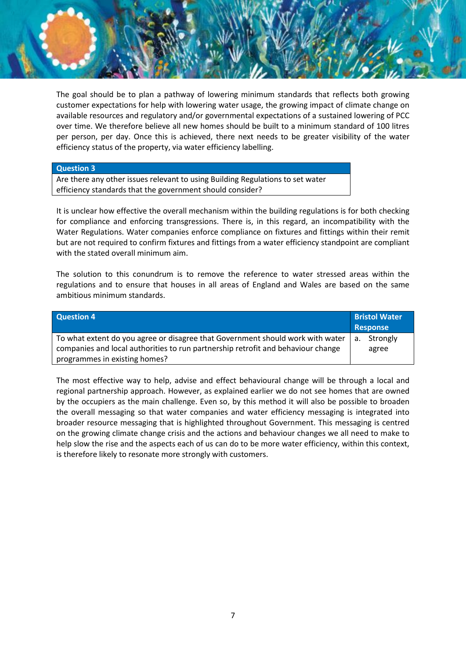The goal should be to plan a pathway of lowering minimum standards that reflects both growing customer expectations for help with lowering water usage, the growing impact of climate change on available resources and regulatory and/or governmental expectations of a sustained lowering of PCC over time. We therefore believe all new homes should be built to a minimum standard of 100 litres per person, per day. Once this is achieved, there next needs to be greater visibility of the water efficiency status of the property, via water efficiency labelling.

#### **Question 3**

Are there any other issues relevant to using Building Regulations to set water efficiency standards that the government should consider?

It is unclear how effective the overall mechanism within the building regulations is for both checking for compliance and enforcing transgressions. There is, in this regard, an incompatibility with the Water Regulations. Water companies enforce compliance on fixtures and fittings within their remit but are not required to confirm fixtures and fittings from a water efficiency standpoint are compliant with the stated overall minimum aim.

The solution to this conundrum is to remove the reference to water stressed areas within the regulations and to ensure that houses in all areas of England and Wales are based on the same ambitious minimum standards.

| <b>Question 4</b>                                                                | <b>Bristol Water</b><br>Response |
|----------------------------------------------------------------------------------|----------------------------------|
| To what extent do you agree or disagree that Government should work with water   | a. Strongly                      |
| companies and local authorities to run partnership retrofit and behaviour change | agree                            |
| programmes in existing homes?                                                    |                                  |

The most effective way to help, advise and effect behavioural change will be through a local and regional partnership approach. However, as explained earlier we do not see homes that are owned by the occupiers as the main challenge. Even so, by this method it will also be possible to broaden the overall messaging so that water companies and water efficiency messaging is integrated into broader resource messaging that is highlighted throughout Government. This messaging is centred on the growing climate change crisis and the actions and behaviour changes we all need to make to help slow the rise and the aspects each of us can do to be more water efficiency, within this context, is therefore likely to resonate more strongly with customers.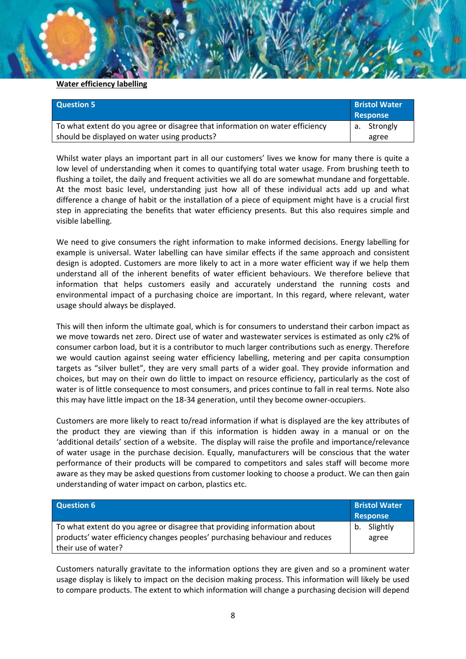#### **Water efficiency labelling**

| <b>Question 5</b>                                                            | <b>Bristol Water</b><br>Response |
|------------------------------------------------------------------------------|----------------------------------|
| To what extent do you agree or disagree that information on water efficiency | a. Strongly                      |
| should be displayed on water using products?                                 | agree                            |

Whilst water plays an important part in all our customers' lives we know for many there is quite a low level of understanding when it comes to quantifying total water usage. From brushing teeth to flushing a toilet, the daily and frequent activities we all do are somewhat mundane and forgettable. At the most basic level, understanding just how all of these individual acts add up and what difference a change of habit or the installation of a piece of equipment might have is a crucial first step in appreciating the benefits that water efficiency presents. But this also requires simple and visible labelling.

We need to give consumers the right information to make informed decisions. Energy labelling for example is universal. Water labelling can have similar effects if the same approach and consistent design is adopted. Customers are more likely to act in a more water efficient way if we help them understand all of the inherent benefits of water efficient behaviours. We therefore believe that information that helps customers easily and accurately understand the running costs and environmental impact of a purchasing choice are important. In this regard, where relevant, water usage should always be displayed.

This will then inform the ultimate goal, which is for consumers to understand their carbon impact as we move towards net zero. Direct use of water and wastewater services is estimated as only c2% of consumer carbon load, but it is a contributor to much larger contributions such as energy. Therefore we would caution against seeing water efficiency labelling, metering and per capita consumption targets as "silver bullet", they are very small parts of a wider goal. They provide information and choices, but may on their own do little to impact on resource efficiency, particularly as the cost of water is of little consequence to most consumers, and prices continue to fall in real terms. Note also this may have little impact on the 18-34 generation, until they become owner-occupiers.

Customers are more likely to react to/read information if what is displayed are the key attributes of the product they are viewing than if this information is hidden away in a manual or on the 'additional details' section of a website. The display will raise the profile and importance/relevance of water usage in the purchase decision. Equally, manufacturers will be conscious that the water performance of their products will be compared to competitors and sales staff will become more aware as they may be asked questions from customer looking to choose a product. We can then gain understanding of water impact on carbon, plastics etc.

| <b>Question 6</b>                                                            | <b>Bristol Water</b><br>Response |
|------------------------------------------------------------------------------|----------------------------------|
| To what extent do you agree or disagree that providing information about     | b. Slightly                      |
| products' water efficiency changes peoples' purchasing behaviour and reduces | agree                            |
| their use of water?                                                          |                                  |

Customers naturally gravitate to the information options they are given and so a prominent water usage display is likely to impact on the decision making process. This information will likely be used to compare products. The extent to which information will change a purchasing decision will depend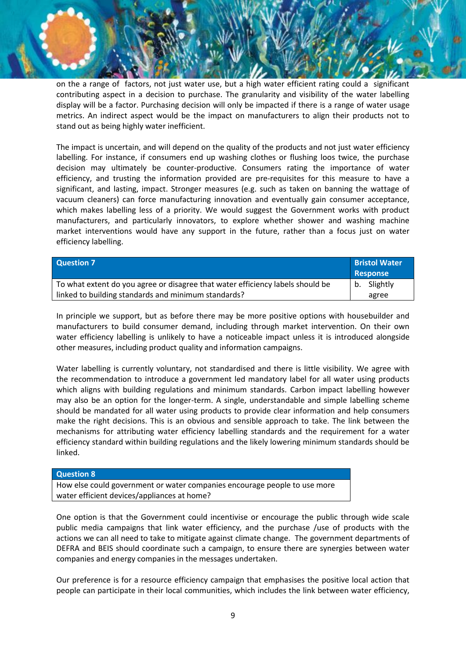on the a range of factors, not just water use, but a high water efficient rating could a significant contributing aspect in a decision to purchase. The granularity and visibility of the water labelling display will be a factor. Purchasing decision will only be impacted if there is a range of water usage metrics. An indirect aspect would be the impact on manufacturers to align their products not to stand out as being highly water inefficient.

The impact is uncertain, and will depend on the quality of the products and not just water efficiency labelling. For instance, if consumers end up washing clothes or flushing loos twice, the purchase decision may ultimately be counter-productive. Consumers rating the importance of water efficiency, and trusting the information provided are pre-requisites for this measure to have a significant, and lasting, impact. Stronger measures (e.g. such as taken on banning the wattage of vacuum cleaners) can force manufacturing innovation and eventually gain consumer acceptance, which makes labelling less of a priority. We would suggest the Government works with product manufacturers, and particularly innovators, to explore whether shower and washing machine market interventions would have any support in the future, rather than a focus just on water efficiency labelling.

| <b>Question 7</b>                                                              | <b>Bristol Water</b><br>Response |
|--------------------------------------------------------------------------------|----------------------------------|
| To what extent do you agree or disagree that water efficiency labels should be | b. Slightly                      |
| linked to building standards and minimum standards?                            | agree                            |

In principle we support, but as before there may be more positive options with housebuilder and manufacturers to build consumer demand, including through market intervention. On their own water efficiency labelling is unlikely to have a noticeable impact unless it is introduced alongside other measures, including product quality and information campaigns.

Water labelling is currently voluntary, not standardised and there is little visibility. We agree with the recommendation to introduce a government led mandatory label for all water using products which aligns with building regulations and minimum standards. Carbon impact labelling however may also be an option for the longer-term. A single, understandable and simple labelling scheme should be mandated for all water using products to provide clear information and help consumers make the right decisions. This is an obvious and sensible approach to take. The link between the mechanisms for attributing water efficiency labelling standards and the requirement for a water efficiency standard within building regulations and the likely lowering minimum standards should be linked.

#### **Question 8**

How else could government or water companies encourage people to use more water efficient devices/appliances at home?

One option is that the Government could incentivise or encourage the public through wide scale public media campaigns that link water efficiency, and the purchase /use of products with the actions we can all need to take to mitigate against climate change. The government departments of DEFRA and BEIS should coordinate such a campaign, to ensure there are synergies between water companies and energy companies in the messages undertaken.

Our preference is for a resource efficiency campaign that emphasises the positive local action that people can participate in their local communities, which includes the link between water efficiency,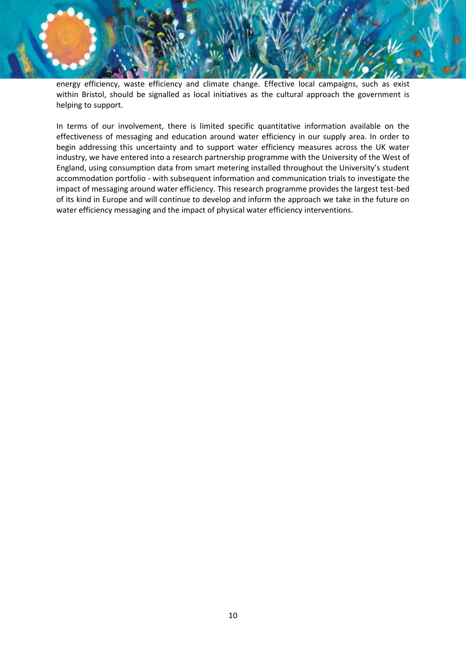energy efficiency, waste efficiency and climate change. Effective local campaigns, such as exist within Bristol, should be signalled as local initiatives as the cultural approach the government is helping to support.

In terms of our involvement, there is limited specific quantitative information available on the effectiveness of messaging and education around water efficiency in our supply area. In order to begin addressing this uncertainty and to support water efficiency measures across the UK water industry, we have entered into a research partnership programme with the University of the West of England, using consumption data from smart metering installed throughout the University's student accommodation portfolio - with subsequent information and communication trials to investigate the impact of messaging around water efficiency. This research programme provides the largest test-bed of its kind in Europe and will continue to develop and inform the approach we take in the future on water efficiency messaging and the impact of physical water efficiency interventions.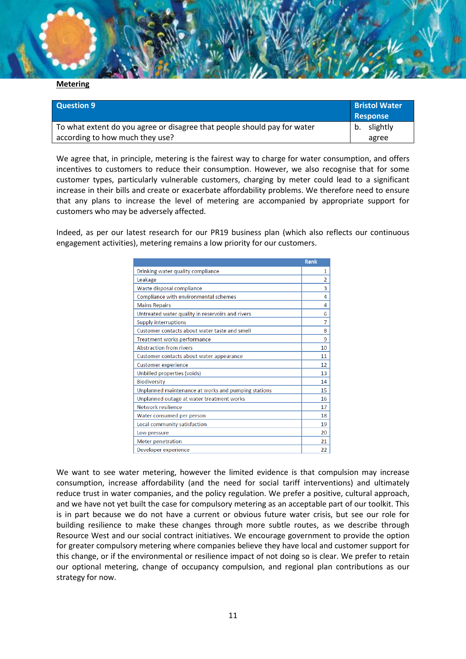

#### **Metering**

| <b>Question 9</b>                                                        | <b>Bristol Water</b><br>Response |  |
|--------------------------------------------------------------------------|----------------------------------|--|
| To what extent do you agree or disagree that people should pay for water | b. slightly                      |  |
| according to how much they use?                                          | agree                            |  |

We agree that, in principle, metering is the fairest way to charge for water consumption, and offers incentives to customers to reduce their consumption. However, we also recognise that for some customer types, particularly vulnerable customers, charging by meter could lead to a significant increase in their bills and create or exacerbate affordability problems. We therefore need to ensure that any plans to increase the level of metering are accompanied by appropriate support for customers who may be adversely affected.

Indeed, as per our latest research for our PR19 business plan (which also reflects our continuous engagement activities), metering remains a low priority for our customers.

|                                                     | Rank           |
|-----------------------------------------------------|----------------|
| Drinking water quality compliance                   | $\mathbf{1}$   |
| Leakage                                             | $\overline{2}$ |
| Waste disposal compliance                           | 3              |
| Compliance with environmental schemes               | 4              |
| <b>Mains Repairs</b>                                | 4              |
| Untreated water quality in reservoirs and rivers    | 6              |
| <b>Supply interruptions</b>                         | $\overline{7}$ |
| Customer contacts about water taste and smell       | 8              |
| Treatment works performance                         | 9              |
| <b>Abstraction from rivers</b>                      | 10             |
| Customer contacts about water appearance            | 11             |
| <b>Customer experience</b>                          | 12             |
| Unbilled properties (voids)                         | 13             |
| Biodiversity                                        | 14             |
| Unplanned maintenance at works and pumping stations | 15             |
| Unplanned outage at water treatment works           | 16             |
| Network resilience                                  | 17             |
| Water consumed per person                           | 18             |
| Local community satisfaction                        | 19             |
| Low pressure                                        | 20             |
| <b>Meter penetration</b>                            | 21             |
| Developer experience                                | 22             |

We want to see water metering, however the limited evidence is that compulsion may increase consumption, increase affordability (and the need for social tariff interventions) and ultimately reduce trust in water companies, and the policy regulation. We prefer a positive, cultural approach, and we have not yet built the case for compulsory metering as an acceptable part of our toolkit. This is in part because we do not have a current or obvious future water crisis, but see our role for building resilience to make these changes through more subtle routes, as we describe through Resource West and our social contract initiatives. We encourage government to provide the option for greater compulsory metering where companies believe they have local and customer support for this change, or if the environmental or resilience impact of not doing so is clear. We prefer to retain our optional metering, change of occupancy compulsion, and regional plan contributions as our strategy for now.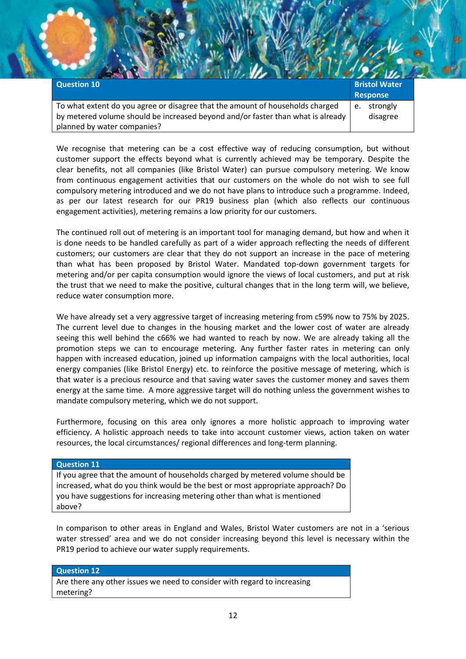| <b>Question 10</b>                                                              | <b>Bristol Water</b> |
|---------------------------------------------------------------------------------|----------------------|
|                                                                                 | <b>Response</b>      |
| To what extent do you agree or disagree that the amount of households charged   | strongly<br>e.       |
| by metered volume should be increased beyond and/or faster than what is already | disagree             |
| planned by water companies?                                                     |                      |

We recognise that metering can be a cost effective way of reducing consumption, but without customer support the effects beyond what is currently achieved may be temporary. Despite the clear benefits, not all companies (like Bristol Water) can pursue compulsory metering. We know from continuous engagement activities that our customers on the whole do not wish to see full compulsory metering introduced and we do not have plans to introduce such a programme. Indeed, as per our latest research for our PR19 business plan (which also reflects our continuous engagement activities), metering remains a low priority for our customers.

The continued roll out of metering is an important tool for managing demand, but how and when it is done needs to be handled carefully as part of a wider approach reflecting the needs of different customers; our customers are clear that they do not support an increase in the pace of metering than what has been proposed by Bristol Water. Mandated top-down government targets for metering and/or per capita consumption would ignore the views of local customers, and put at risk the trust that we need to make the positive, cultural changes that in the long term will, we believe, reduce water consumption more.

We have already set a very aggressive target of increasing metering from c59% now to 75% by 2025. The current level due to changes in the housing market and the lower cost of water are already seeing this well behind the c66% we had wanted to reach by now. We are already taking all the promotion steps we can to encourage metering. Any further faster rates in metering can only happen with increased education, joined up information campaigns with the local authorities, local energy companies (like Bristol Energy) etc. to reinforce the positive message of metering, which is that water is a precious resource and that saving water saves the customer money and saves them energy at the same time. A more aggressive target will do nothing unless the government wishes to mandate compulsory metering, which we do not support.

Furthermore, focusing on this area only ignores a more holistic approach to improving water efficiency. A holistic approach needs to take into account customer views, action taken on water resources, the local circumstances/ regional differences and long-term planning.

#### **Question 11**

If you agree that the amount of households charged by metered volume should be increased, what do you think would be the best or most appropriate approach? Do you have suggestions for increasing metering other than what is mentioned above?

In comparison to other areas in England and Wales, Bristol Water customers are not in a 'serious water stressed' area and we do not consider increasing beyond this level is necessary within the PR19 period to achieve our water supply requirements.

#### **Question 12**

Are there any other issues we need to consider with regard to increasing metering?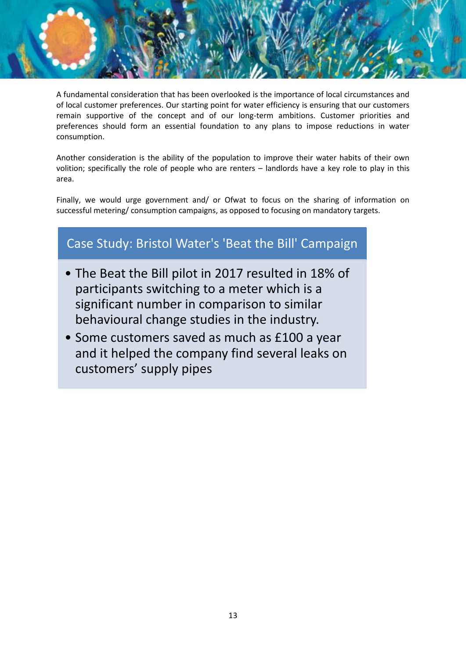A fundamental consideration that has been overlooked is the importance of local circumstances and of local customer preferences. Our starting point for water efficiency is ensuring that our customers remain supportive of the concept and of our long-term ambitions. Customer priorities and preferences should form an essential foundation to any plans to impose reductions in water consumption.

Another consideration is the ability of the population to improve their water habits of their own volition; specifically the role of people who are renters – landlords have a key role to play in this area.

Finally, we would urge government and/ or Ofwat to focus on the sharing of information on successful metering/ consumption campaigns, as opposed to focusing on mandatory targets.

# Case Study: Bristol Water's 'Beat the Bill' Campaign

- The Beat the Bill pilot in 2017 resulted in 18% of participants switching to a meter which is a significant number in comparison to similar behavioural change studies in the industry.
- Some customers saved as much as £100 a year and it helped the company find several leaks on customers' supply pipes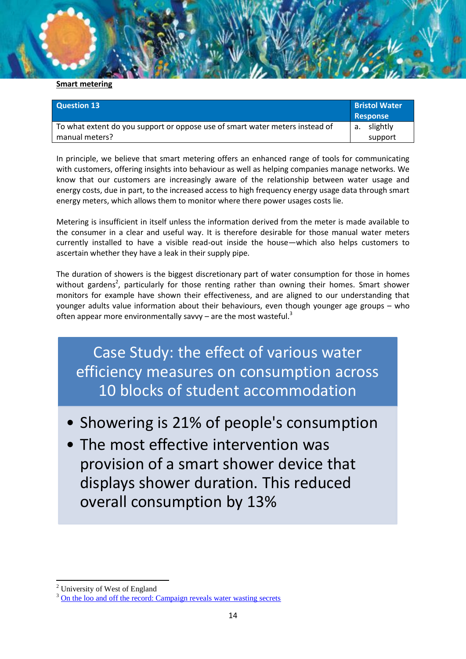#### **Smart metering**

| Question 13                                                                  | <b>Bristol Water</b><br>Response |
|------------------------------------------------------------------------------|----------------------------------|
| To what extent do you support or oppose use of smart water meters instead of | a. slightly                      |
| manual meters?                                                               | support                          |

In principle, we believe that smart metering offers an enhanced range of tools for communicating with customers, offering insights into behaviour as well as helping companies manage networks. We know that our customers are increasingly aware of the relationship between water usage and energy costs, due in part, to the increased access to high frequency energy usage data through smart energy meters, which allows them to monitor where there power usages costs lie.

Metering is insufficient in itself unless the information derived from the meter is made available to the consumer in a clear and useful way. It is therefore desirable for those manual water meters currently installed to have a visible read-out inside the house—which also helps customers to ascertain whether they have a leak in their supply pipe.

The duration of showers is the biggest discretionary part of water consumption for those in homes without gardens<sup>2</sup>, particularly for those renting rather than owning their homes. Smart shower monitors for example have shown their effectiveness, and are aligned to our understanding that younger adults value information about their behaviours, even though younger age groups – who often appear more environmentally savvy – are the most wasteful.<sup>3</sup>

Case Study: the effect of various water efficiency measures on consumption across 10 blocks of student accommodation

- Showering is 21% of people's consumption
- The most effective intervention was provision of a smart shower device that displays shower duration. This reduced overall consumption by 13%

**<sup>.</sup>** <sup>2</sup> University of West of England

<sup>&</sup>lt;sup>3</sup> [On the loo and off the record: Campaign reveals water wasting secrets](https://www.bristolwater.co.uk/on-the-loo-and-off-the-record-campaign-reveals-water-wasting-secrets/)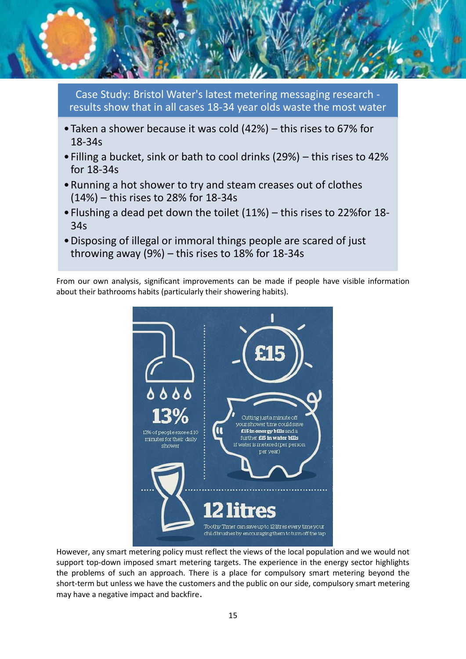

Case Study: Bristol Water's latest metering messaging research results show that in all cases 18-34 year olds waste the most water

- •Taken a shower because it was cold (42%) this rises to 67% for 18-34s
- •Filling a bucket, sink or bath to cool drinks (29%) this rises to 42% for 18-34s
- •Running a hot shower to try and steam creases out of clothes (14%) – this rises to 28% for 18-34s
- •Flushing a dead pet down the toilet (11%) this rises to 22%for 18- 34s
- •Disposing of illegal or immoral things people are scared of just throwing away (9%) – this rises to 18% for 18-34s

From our own analysis, significant improvements can be made if people have visible information about their bathrooms habits (particularly their showering habits).



However, any smart metering policy must reflect the views of the local population and we would not support top-down imposed smart metering targets. The experience in the energy sector highlights the problems of such an approach. There is a place for compulsory smart metering beyond the short-term but unless we have the customers and the public on our side, compulsory smart metering may have a negative impact and backfire.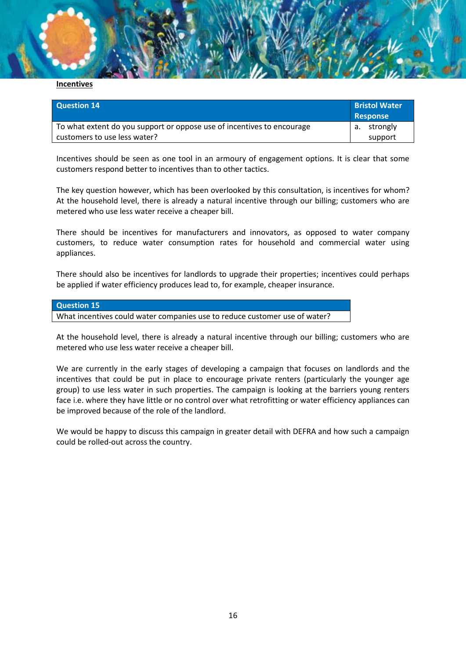

| Question 14                                                            | <b>Bristol Water</b><br><b>Response</b> |
|------------------------------------------------------------------------|-----------------------------------------|
| To what extent do you support or oppose use of incentives to encourage | a. strongly                             |
| customers to use less water?                                           | support                                 |

Incentives should be seen as one tool in an armoury of engagement options. It is clear that some customers respond better to incentives than to other tactics.

The key question however, which has been overlooked by this consultation, is incentives for whom? At the household level, there is already a natural incentive through our billing; customers who are metered who use less water receive a cheaper bill.

There should be incentives for manufacturers and innovators, as opposed to water company customers, to reduce water consumption rates for household and commercial water using appliances.

There should also be incentives for landlords to upgrade their properties; incentives could perhaps be applied if water efficiency produces lead to, for example, cheaper insurance.

#### **Question 15**

What incentives could water companies use to reduce customer use of water?

At the household level, there is already a natural incentive through our billing; customers who are metered who use less water receive a cheaper bill.

We are currently in the early stages of developing a campaign that focuses on landlords and the incentives that could be put in place to encourage private renters (particularly the younger age group) to use less water in such properties. The campaign is looking at the barriers young renters face i.e. where they have little or no control over what retrofitting or water efficiency appliances can be improved because of the role of the landlord.

We would be happy to discuss this campaign in greater detail with DEFRA and how such a campaign could be rolled-out across the country.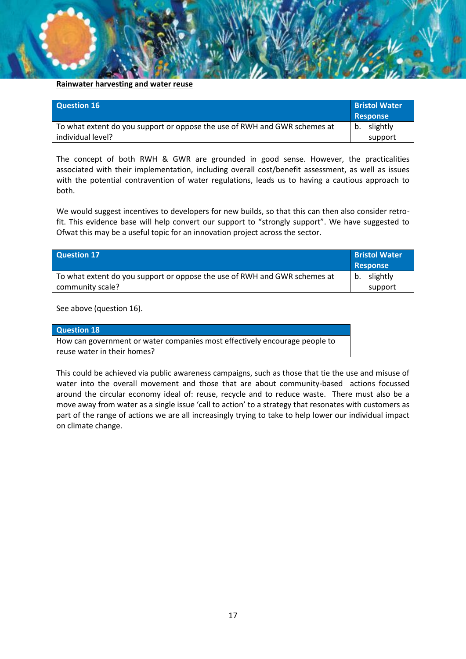#### **Rainwater harvesting and water reuse**

| Question 16                                                               | <b>Bristol Water</b><br><b>Response</b> |
|---------------------------------------------------------------------------|-----------------------------------------|
| To what extent do you support or oppose the use of RWH and GWR schemes at | b. slightly                             |
| individual level?                                                         | support                                 |

The concept of both RWH & GWR are grounded in good sense. However, the practicalities associated with their implementation, including overall cost/benefit assessment, as well as issues with the potential contravention of water regulations, leads us to having a cautious approach to both.

We would suggest incentives to developers for new builds, so that this can then also consider retrofit. This evidence base will help convert our support to "strongly support". We have suggested to Ofwat this may be a useful topic for an innovation project across the sector.

| Question 17                                                               | <b>Bristol Water</b><br><b>Response</b> |
|---------------------------------------------------------------------------|-----------------------------------------|
| To what extent do you support or oppose the use of RWH and GWR schemes at | b. slightly                             |
| community scale?                                                          | support                                 |

See above (question 16).

| Question 18                                                                |
|----------------------------------------------------------------------------|
| How can government or water companies most effectively encourage people to |
| reuse water in their homes?                                                |

This could be achieved via public awareness campaigns, such as those that tie the use and misuse of water into the overall movement and those that are about community-based actions focussed around the circular economy ideal of: reuse, recycle and to reduce waste. There must also be a move away from water as a single issue 'call to action' to a strategy that resonates with customers as part of the range of actions we are all increasingly trying to take to help lower our individual impact on climate change.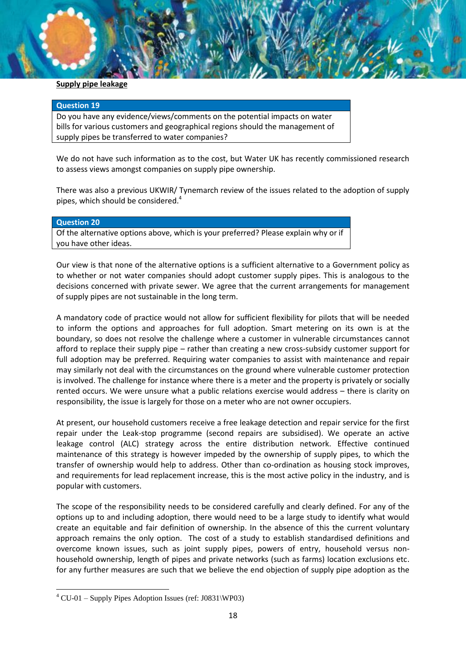#### **Supply pipe leakage**

#### **Question 19**

Do you have any evidence/views/comments on the potential impacts on water bills for various customers and geographical regions should the management of supply pipes be transferred to water companies?

We do not have such information as to the cost, but Water UK has recently commissioned research to assess views amongst companies on supply pipe ownership.

There was also a previous UKWIR/ Tynemarch review of the issues related to the adoption of supply pipes, which should be considered.<sup>4</sup>

#### **Question 20**

**.** 

Of the alternative options above, which is your preferred? Please explain why or if you have other ideas.

Our view is that none of the alternative options is a sufficient alternative to a Government policy as to whether or not water companies should adopt customer supply pipes. This is analogous to the decisions concerned with private sewer. We agree that the current arrangements for management of supply pipes are not sustainable in the long term.

A mandatory code of practice would not allow for sufficient flexibility for pilots that will be needed to inform the options and approaches for full adoption. Smart metering on its own is at the boundary, so does not resolve the challenge where a customer in vulnerable circumstances cannot afford to replace their supply pipe – rather than creating a new cross-subsidy customer support for full adoption may be preferred. Requiring water companies to assist with maintenance and repair may similarly not deal with the circumstances on the ground where vulnerable customer protection is involved. The challenge for instance where there is a meter and the property is privately or socially rented occurs. We were unsure what a public relations exercise would address – there is clarity on responsibility, the issue is largely for those on a meter who are not owner occupiers.

At present, our household customers receive a free leakage detection and repair service for the first repair under the Leak-stop programme (second repairs are subsidised). We operate an active leakage control (ALC) strategy across the entire distribution network. Effective continued maintenance of this strategy is however impeded by the ownership of supply pipes, to which the transfer of ownership would help to address. Other than co-ordination as housing stock improves, and requirements for lead replacement increase, this is the most active policy in the industry, and is popular with customers.

The scope of the responsibility needs to be considered carefully and clearly defined. For any of the options up to and including adoption, there would need to be a large study to identify what would create an equitable and fair definition of ownership. In the absence of this the current voluntary approach remains the only option. The cost of a study to establish standardised definitions and overcome known issues, such as joint supply pipes, powers of entry, household versus nonhousehold ownership, length of pipes and private networks (such as farms) location exclusions etc. for any further measures are such that we believe the end objection of supply pipe adoption as the

 $4^4$  CU-01 – Supply Pipes Adoption Issues (ref: J0831\WP03)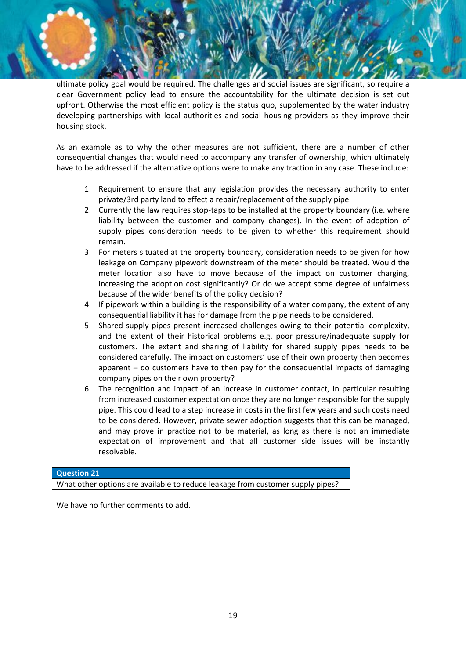ultimate policy goal would be required. The challenges and social issues are significant, so require a clear Government policy lead to ensure the accountability for the ultimate decision is set out upfront. Otherwise the most efficient policy is the status quo, supplemented by the water industry developing partnerships with local authorities and social housing providers as they improve their housing stock.

As an example as to why the other measures are not sufficient, there are a number of other consequential changes that would need to accompany any transfer of ownership, which ultimately have to be addressed if the alternative options were to make any traction in any case. These include:

- 1. Requirement to ensure that any legislation provides the necessary authority to enter private/3rd party land to effect a repair/replacement of the supply pipe.
- 2. Currently the law requires stop-taps to be installed at the property boundary (i.e. where liability between the customer and company changes). In the event of adoption of supply pipes consideration needs to be given to whether this requirement should remain.
- 3. For meters situated at the property boundary, consideration needs to be given for how leakage on Company pipework downstream of the meter should be treated. Would the meter location also have to move because of the impact on customer charging, increasing the adoption cost significantly? Or do we accept some degree of unfairness because of the wider benefits of the policy decision?
- 4. If pipework within a building is the responsibility of a water company, the extent of any consequential liability it has for damage from the pipe needs to be considered.
- 5. Shared supply pipes present increased challenges owing to their potential complexity, and the extent of their historical problems e.g. poor pressure/inadequate supply for customers. The extent and sharing of liability for shared supply pipes needs to be considered carefully. The impact on customers' use of their own property then becomes apparent – do customers have to then pay for the consequential impacts of damaging company pipes on their own property?
- 6. The recognition and impact of an increase in customer contact, in particular resulting from increased customer expectation once they are no longer responsible for the supply pipe. This could lead to a step increase in costs in the first few years and such costs need to be considered. However, private sewer adoption suggests that this can be managed, and may prove in practice not to be material, as long as there is not an immediate expectation of improvement and that all customer side issues will be instantly resolvable.

#### **Question 21**

What other options are available to reduce leakage from customer supply pipes?

We have no further comments to add.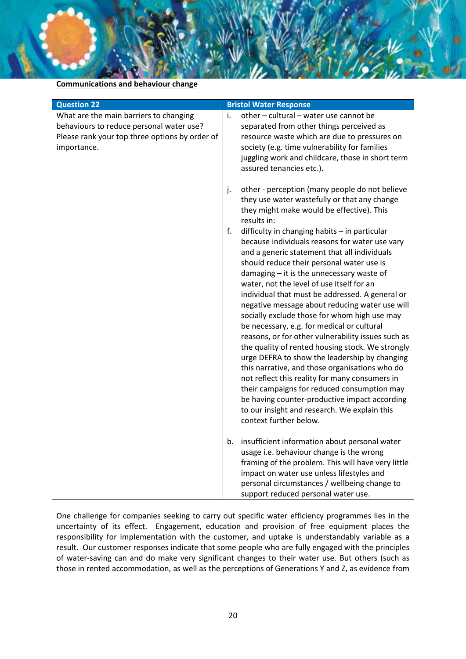**Communications and behaviour change**

| <b>Question 22</b>                                                                                                                                  | <b>Bristol Water Response</b>                                                                                                                                                                                                                                                                                                                                                                                                                                                                                                                                                                                                                                                                                                                                                                                                                                                                                                                                                                                                                                                                                |
|-----------------------------------------------------------------------------------------------------------------------------------------------------|--------------------------------------------------------------------------------------------------------------------------------------------------------------------------------------------------------------------------------------------------------------------------------------------------------------------------------------------------------------------------------------------------------------------------------------------------------------------------------------------------------------------------------------------------------------------------------------------------------------------------------------------------------------------------------------------------------------------------------------------------------------------------------------------------------------------------------------------------------------------------------------------------------------------------------------------------------------------------------------------------------------------------------------------------------------------------------------------------------------|
| What are the main barriers to changing<br>behaviours to reduce personal water use?<br>Please rank your top three options by order of<br>importance. | other - cultural - water use cannot be<br>j.<br>separated from other things perceived as<br>resource waste which are due to pressures on<br>society (e.g. time vulnerability for families<br>juggling work and childcare, those in short term<br>assured tenancies etc.).                                                                                                                                                                                                                                                                                                                                                                                                                                                                                                                                                                                                                                                                                                                                                                                                                                    |
|                                                                                                                                                     | j.<br>other - perception (many people do not believe<br>they use water wastefully or that any change<br>they might make would be effective). This<br>results in:<br>f.<br>difficulty in changing habits - in particular<br>because individuals reasons for water use vary<br>and a generic statement that all individuals<br>should reduce their personal water use is<br>damaging - it is the unnecessary waste of<br>water, not the level of use itself for an<br>individual that must be addressed. A general or<br>negative message about reducing water use will<br>socially exclude those for whom high use may<br>be necessary, e.g. for medical or cultural<br>reasons, or for other vulnerability issues such as<br>the quality of rented housing stock. We strongly<br>urge DEFRA to show the leadership by changing<br>this narrative, and those organisations who do<br>not reflect this reality for many consumers in<br>their campaigns for reduced consumption may<br>be having counter-productive impact according<br>to our insight and research. We explain this<br>context further below. |
|                                                                                                                                                     | b.<br>insufficient information about personal water<br>usage i.e. behaviour change is the wrong<br>framing of the problem. This will have very little<br>impact on water use unless lifestyles and<br>personal circumstances / wellbeing change to<br>support reduced personal water use.                                                                                                                                                                                                                                                                                                                                                                                                                                                                                                                                                                                                                                                                                                                                                                                                                    |

One challenge for companies seeking to carry out specific water efficiency programmes lies in the uncertainty of its effect. Engagement, education and provision of free equipment places the responsibility for implementation with the customer, and uptake is understandably variable as a result. Our customer responses indicate that some people who are fully engaged with the principles of water-saving can and do make very significant changes to their water use. But others (such as those in rented accommodation, as well as the perceptions of Generations Y and Z, as evidence from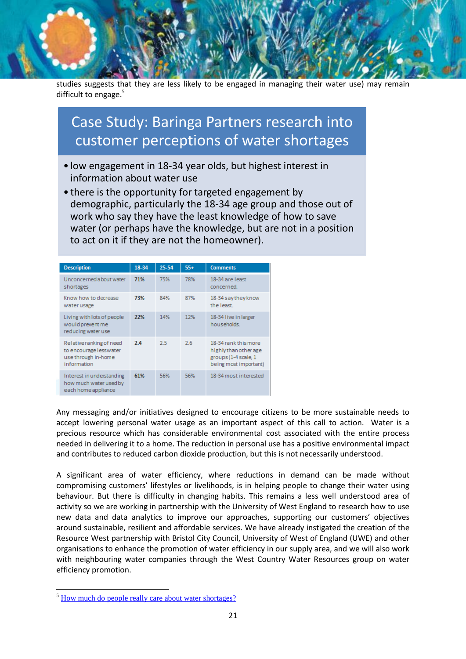studies suggests that they are less likely to be engaged in managing their water use) may remain difficult to engage.<sup>5</sup>

# Case Study: Baringa Partners research into customer perceptions of water shortages

- low engagement in 18-34 year olds, but highest interest in information about water use
- there is the opportunity for targeted engagement by demographic, particularly the 18-34 age group and those out of work who say they have the least knowledge of how to save water (or perhaps have the knowledge, but are not in a position to act on it if they are not the homeowner).

| <b>Description</b>                                                                       | 18-34 | 25-54 | $55+$ | <b>Comments</b>                                                                                |
|------------------------------------------------------------------------------------------|-------|-------|-------|------------------------------------------------------------------------------------------------|
| Unconcerned about water<br>shortages                                                     | 71%   | 75%   | 78%   | 18-34 are least<br>concerned.                                                                  |
| Know how to decrease<br>water usage                                                      | 73%   | 84%   | 87%   | 18-34 say they know<br>the least.                                                              |
| Living with lots of people<br>would prevent me<br>reducing water use                     | 22%   | 14%   | 12%   | 18-34 live in larger<br>households.                                                            |
| Relative ranking of need<br>to encourage lesswater<br>use through in-home<br>information | 2.4   | 2.5   | 2.6   | 18-34 rank this more<br>highly than other age<br>groups (1-4 scale, 1<br>being most important) |
| Interest in understanding<br>how much water used by<br>each home appliance               | 61%   | 56%   | 56%   | 18-34 most interested                                                                          |

Any messaging and/or initiatives designed to encourage citizens to be more sustainable needs to accept lowering personal water usage as an important aspect of this call to action. Water is a precious resource which has considerable environmental cost associated with the entire process needed in delivering it to a home. The reduction in personal use has a positive environmental impact and contributes to reduced carbon dioxide production, but this is not necessarily understood.

A significant area of water efficiency, where reductions in demand can be made without compromising customers' lifestyles or livelihoods, is in helping people to change their water using behaviour. But there is difficulty in changing habits. This remains a less well understood area of activity so we are working in partnership with the University of West England to research how to use new data and data analytics to improve our approaches, supporting our customers' objectives around sustainable, resilient and affordable services. We have already instigated the creation of the Resource West partnership with Bristol City Council, University of West of England (UWE) and other organisations to enhance the promotion of water efficiency in our supply area, and we will also work with neighbouring water companies through the West Country Water Resources group on water efficiency promotion.

**.** 

<sup>&</sup>lt;sup>5</sup> [How much do people really care about water shortages?](https://www.baringa.com/en/insights-news/points-of-view/how-much-do-people-really-care-about-water-shortag/)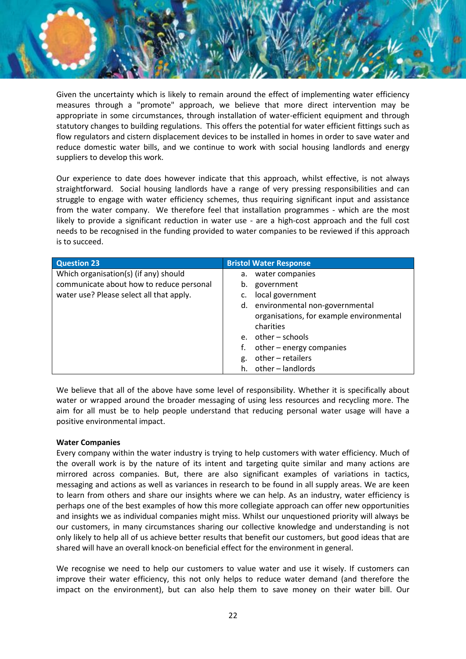Given the uncertainty which is likely to remain around the effect of implementing water efficiency measures through a "promote" approach, we believe that more direct intervention may be appropriate in some circumstances, through installation of water-efficient equipment and through statutory changes to building regulations. This offers the potential for water efficient fittings such as flow regulators and cistern displacement devices to be installed in homes in order to save water and reduce domestic water bills, and we continue to work with social housing landlords and energy suppliers to develop this work.

Our experience to date does however indicate that this approach, whilst effective, is not always straightforward. Social housing landlords have a range of very pressing responsibilities and can struggle to engage with water efficiency schemes, thus requiring significant input and assistance from the water company. We therefore feel that installation programmes - which are the most likely to provide a significant reduction in water use - are a high-cost approach and the full cost needs to be recognised in the funding provided to water companies to be reviewed if this approach is to succeed.

| <b>Question 23</b>                       | <b>Bristol Water Response</b>            |
|------------------------------------------|------------------------------------------|
| Which organisation(s) (if any) should    | a. water companies                       |
| communicate about how to reduce personal | government<br>b.                         |
| water use? Please select all that apply. | local government                         |
|                                          | d. environmental non-governmental        |
|                                          | organisations, for example environmental |
|                                          | charities                                |
|                                          | e. $other - schools$                     |
|                                          | other – energy companies                 |
|                                          | other - retailers<br>g.                  |
|                                          | other – landlords<br>h.                  |

We believe that all of the above have some level of responsibility. Whether it is specifically about water or wrapped around the broader messaging of using less resources and recycling more. The aim for all must be to help people understand that reducing personal water usage will have a positive environmental impact.

#### **Water Companies**

Every company within the water industry is trying to help customers with water efficiency. Much of the overall work is by the nature of its intent and targeting quite similar and many actions are mirrored across companies. But, there are also significant examples of variations in tactics, messaging and actions as well as variances in research to be found in all supply areas. We are keen to learn from others and share our insights where we can help. As an industry, water efficiency is perhaps one of the best examples of how this more collegiate approach can offer new opportunities and insights we as individual companies might miss. Whilst our unquestioned priority will always be our customers, in many circumstances sharing our collective knowledge and understanding is not only likely to help all of us achieve better results that benefit our customers, but good ideas that are shared will have an overall knock-on beneficial effect for the environment in general.

We recognise we need to help our customers to value water and use it wisely. If customers can improve their water efficiency, this not only helps to reduce water demand (and therefore the impact on the environment), but can also help them to save money on their water bill. Our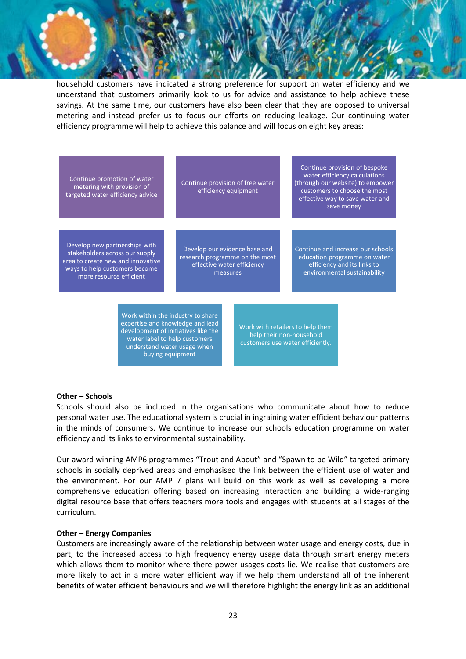household customers have indicated a strong preference for support on water efficiency and we understand that customers primarily look to us for advice and assistance to help achieve these savings. At the same time, our customers have also been clear that they are opposed to universal metering and instead prefer us to focus our efforts on reducing leakage. Our continuing water efficiency programme will help to achieve this balance and will focus on eight key areas:

Continue promotion of water metering with provision of targeted water efficiency advice

Continue provision of free water efficiency equipment

Continue provision of bespoke water efficiency calculations (through our website) to empower customers to choose the most effective way to save water and save money

Develop new partnerships with stakeholders across our supply area to create new and innovative ways to help customers become more resource efficient

Develop our evidence base and research programme on the most effective water efficiency measures

Continue and increase our schools education programme on water efficiency and its links to environmental sustainability

Work within the industry to share expertise and knowledge and lead development of initiatives like the water label to help customers understand water usage when buying equipment

Work with retailers to help them help their non-household customers use water efficiently.

#### **Other – Schools**

Schools should also be included in the organisations who communicate about how to reduce personal water use. The educational system is crucial in ingraining water efficient behaviour patterns in the minds of consumers. We continue to increase our schools education programme on water efficiency and its links to environmental sustainability.

Our award winning AMP6 programmes "Trout and About" and "Spawn to be Wild" targeted primary schools in socially deprived areas and emphasised the link between the efficient use of water and the environment. For our AMP 7 plans will build on this work as well as developing a more comprehensive education offering based on increasing interaction and building a wide-ranging digital resource base that offers teachers more tools and engages with students at all stages of the curriculum.

#### **Other – Energy Companies**

Customers are increasingly aware of the relationship between water usage and energy costs, due in part, to the increased access to high frequency energy usage data through smart energy meters which allows them to monitor where there power usages costs lie. We realise that customers are more likely to act in a more water efficient way if we help them understand all of the inherent benefits of water efficient behaviours and we will therefore highlight the energy link as an additional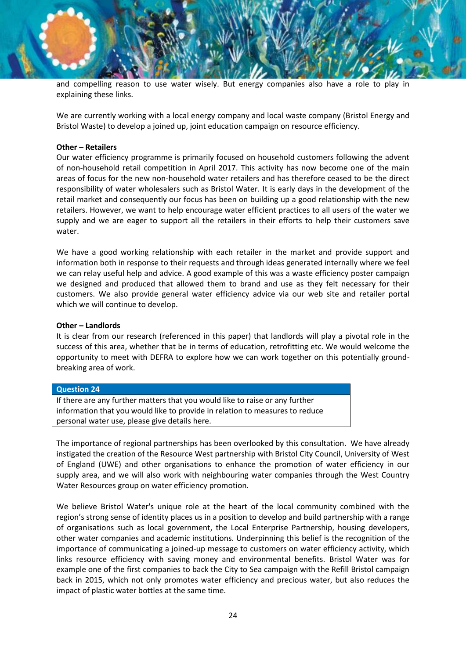and compelling reason to use water wisely. But energy companies also have a role to play in explaining these links.

We are currently working with a local energy company and local waste company (Bristol Energy and Bristol Waste) to develop a joined up, joint education campaign on resource efficiency.

#### **Other – Retailers**

Our water efficiency programme is primarily focused on household customers following the advent of non-household retail competition in April 2017. This activity has now become one of the main areas of focus for the new non-household water retailers and has therefore ceased to be the direct responsibility of water wholesalers such as Bristol Water. It is early days in the development of the retail market and consequently our focus has been on building up a good relationship with the new retailers. However, we want to help encourage water efficient practices to all users of the water we supply and we are eager to support all the retailers in their efforts to help their customers save water.

We have a good working relationship with each retailer in the market and provide support and information both in response to their requests and through ideas generated internally where we feel we can relay useful help and advice. A good example of this was a waste efficiency poster campaign we designed and produced that allowed them to brand and use as they felt necessary for their customers. We also provide general water efficiency advice via our web site and retailer portal which we will continue to develop.

#### **Other – Landlords**

It is clear from our research (referenced in this paper) that landlords will play a pivotal role in the success of this area, whether that be in terms of education, retrofitting etc. We would welcome the opportunity to meet with DEFRA to explore how we can work together on this potentially groundbreaking area of work.

#### **Question 24**

If there are any further matters that you would like to raise or any further information that you would like to provide in relation to measures to reduce personal water use, please give details here.

The importance of regional partnerships has been overlooked by this consultation. We have already instigated the creation of the Resource West partnership with Bristol City Council, University of West of England (UWE) and other organisations to enhance the promotion of water efficiency in our supply area, and we will also work with neighbouring water companies through the West Country Water Resources group on water efficiency promotion.

We believe Bristol Water's unique role at the heart of the local community combined with the region's strong sense of identity places us in a position to develop and build partnership with a range of organisations such as local government, the Local Enterprise Partnership, housing developers, other water companies and academic institutions. Underpinning this belief is the recognition of the importance of communicating a joined-up message to customers on water efficiency activity, which links resource efficiency with saving money and environmental benefits. Bristol Water was for example one of the first companies to back the City to Sea campaign with the Refill Bristol campaign back in 2015, which not only promotes water efficiency and precious water, but also reduces the impact of plastic water bottles at the same time.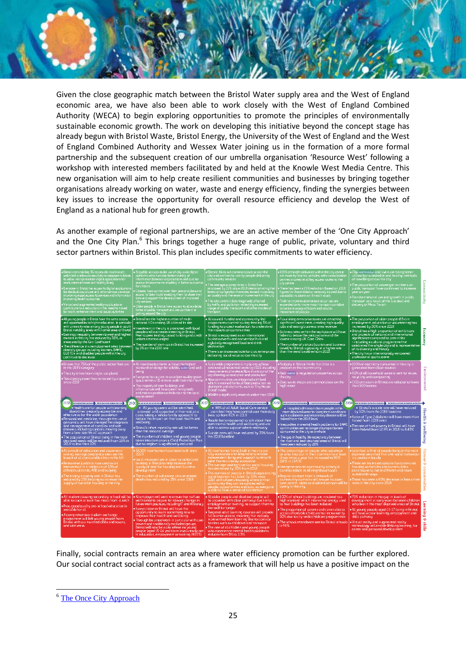Given the close geographic match between the Bristol Water supply area and the West of England economic area, we have also been able to work closely with the West of England Combined Authority (WECA) to begin exploring opportunities to promote the principles of environmentally sustainable economic growth. The work on developing this initiative beyond the concept stage has already begun with Bristol Waste, Bristol Energy, the University of the West of England and the West of England Combined Authority and Wessex Water joining us in the formation of a more formal partnership and the subsequent creation of our umbrella organisation 'Resource West' following a workshop with interested members facilitated by and held at the Knowle West Media Centre. This new organisation will aim to help create resilient communities and businesses by bringing together organisations already working on water, waste and energy efficiency, finding the synergies between key issues to increase the opportunity for overall resource efficiency and develop the West of England as a national hub for green growth.

As another example of regional partnerships, we are an active member of the 'One City Approach' and the One City Plan.<sup>6</sup> This brings together a huge range of public, private, voluntary and third sector partners within Bristol. This plan includes specific commitments to water efficiency.



Finally, social contracts remain an area where water efficiency promotion can be further explored. Our social contract social contract acts as a framework that will help us have a positive impact on the

**.** 

<sup>&</sup>lt;sup>6</sup> [The Once City Approach](https://www.bristolonecity.com/)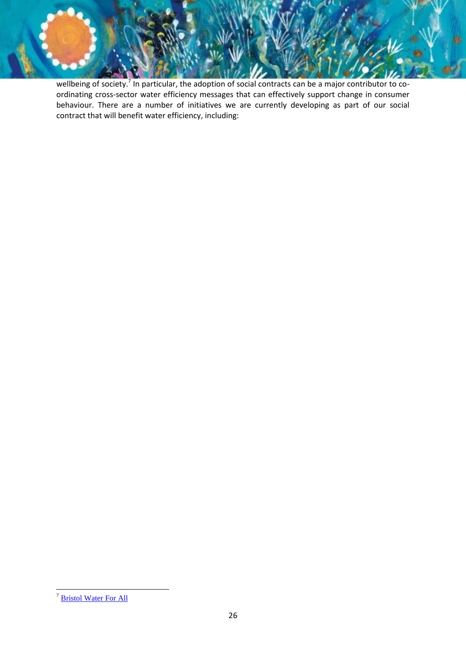wellbeing of society.<sup>7</sup> In particular, the adoption of social contracts can be a major contributor to coordinating cross-sector water efficiency messages that can effectively support change in consumer behaviour. There are a number of initiatives we are currently developing as part of our social contract that will benefit water efficiency, including:

**<sup>.</sup>** <sup>7</sup> [Bristol Water For All](https://www.bristolwater.co.uk/wp-content/uploads/2019/01/Bristol-Water-our-purpose-and-social-contract-to-build-trust-beyond-water.pdf)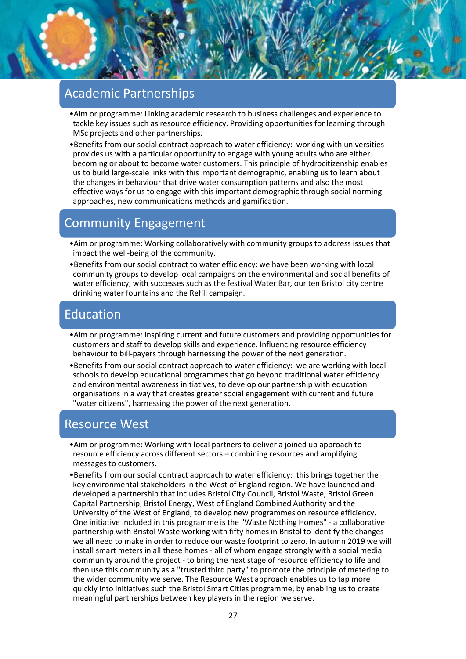### Academic Partnerships

- •Aim or programme: Linking academic research to business challenges and experience to tackle key issues such as resource efficiency. Providing opportunities for learning through MSc projects and other partnerships.
- •Benefits from our social contract approach to water efficiency: working with universities provides us with a particular opportunity to engage with young adults who are either becoming or about to become water customers. This principle of hydrocitizenship enables us to build large-scale links with this important demographic, enabling us to learn about the changes in behaviour that drive water consumption patterns and also the most effective ways for us to engage with this important demographic through social norming approaches, new communications methods and gamification.

# Community Engagement

- •Aim or programme: Working collaboratively with community groups to address issues that impact the well-being of the community.
- •Benefits from our social contract to water efficiency: we have been working with local community groups to develop local campaigns on the environmental and social benefits of water efficiency, with successes such as the festival Water Bar, our ten Bristol city centre drinking water fountains and the Refill campaign.

# Education

- •Aim or programme: Inspiring current and future customers and providing opportunities for customers and staff to develop skills and experience. Influencing resource efficiency behaviour to bill-payers through harnessing the power of the next generation.
- •Benefits from our social contract approach to water efficiency: we are working with local schools to develop educational programmes that go beyond traditional water efficiency and environmental awareness initiatives, to develop our partnership with education organisations in a way that creates greater social engagement with current and future "water citizens", harnessing the power of the next generation.

### Resource West

- •Aim or programme: Working with local partners to deliver a joined up approach to resource efficiency across different sectors – combining resources and amplifying messages to customers.
- •Benefits from our social contract approach to water efficiency: this brings together the key environmental stakeholders in the West of England region. We have launched and developed a partnership that includes Bristol City Council, Bristol Waste, Bristol Green Capital Partnership, Bristol Energy, West of England Combined Authority and the University of the West of England, to develop new programmes on resource efficiency. One initiative included in this programme is the "Waste Nothing Homes" - a collaborative partnership with Bristol Waste working with fifty homes in Bristol to identify the changes we all need to make in order to reduce our waste footprint to zero. In autumn 2019 we will install smart meters in all these homes - all of whom engage strongly with a social media community around the project - to bring the next stage of resource efficiency to life and then use this community as a "trusted third party" to promote the principle of metering to the wider community we serve. The Resource West approach enables us to tap more quickly into initiatives such the Bristol Smart Cities programme, by enabling us to create meaningful partnerships between key players in the region we serve.